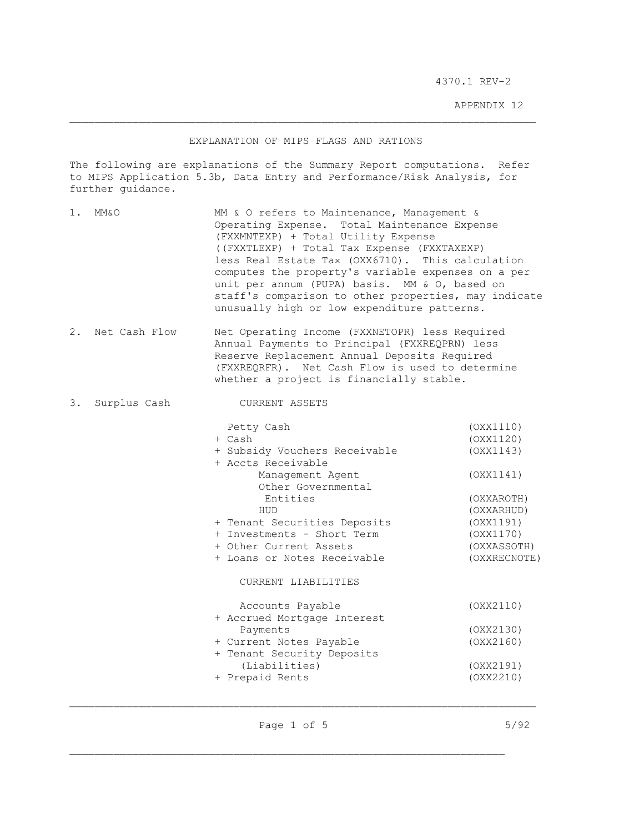4370.1 REV-2 4370.1 REV-2

APPENDIX 12 APPENDIX 12

## EXPLANATION OF MIPS FLAGS AND RATIONS EXPLANATION OF MIPS FLAGS AND RATIONS

The following are explanations of the Summary Report computations. Refer to MIPS Application 5.3b, Data Entry and Performance/Risk Analysis, for to MIPS Application 5.3b, Data Entry and Performance/Risk Analysis, for further guidance. further guidance.

- 1. MM&O 1. MM&O MM & O refers to Maintenance, Management & Operating Expense. Total Maintenance Expense Operating Expense. Total Maintenance Expense (FXXMNTEXP) + Total Utility Expense (FXXMNTEXP) + Total Utility Expense ((FXXTLEXP) + Total Tax Expense (FXXTAXEXP) ((FXXTLEXP) + Total Tax Expense (FXXTAXEXP) less Real Estate Tax (0XX6710). This calculation less Real Estate Tax (OXX6710). This calculation computes the property's variable expenses on a per computes the property's variable expenses on a per unit per annum (PUPA) basis. MM & 0, based on unit per annum (PUPA) basis. MM & O, based on staff's comparison to other properties, may indicate unusually high or low expenditure patterns. unusually high or low expenditure patterns.
- 2. Net Cash Flow Net Operating Income (FXXNETOPR) less Required 2. Net Cash Flow Net Operating Income (FXXNETOPR) less Required Annual Payments to Principal (FXXREQPRN) less Annual Payments to Principal (FXXREQPRN) less Reserve Replacement Annual Deposits Required Reserve Replacement Annual Deposits Required (FXXREQRFR). Net Cash Flow is used to determine (FXXREQRFR). Net Cash Flow is used to determine whether a project is financially stable. whether a project is financially stable.

## 3. Surplus Cash CURRENT ASSETS 3. Surplus Cash CURRENT ASSETS

| Petty Cash                    | (OXX1110)    |
|-------------------------------|--------------|
| + Cash                        | (OXX1120)    |
| + Subsidy Vouchers Receivable | (OXX1143)    |
| + Accts Receivable            |              |
| Management Agent              | (OXX1141)    |
| Other Governmental            |              |
| Entities                      | (OXXAROTH)   |
| HUD                           | (OXXARHUD)   |
| + Tenant Securities Deposits  | (OXX1191)    |
| + Investments - Short Term    | (OXX1170)    |
| + Other Current Assets        | (OXXASSOTH)  |
| + Loans or Notes Receivable   | (OXXRECNOTE) |
| CURRENT LIABILITIES           |              |
| Accounts Payable              | (OXX2110)    |
| + Accrued Mortgage Interest   |              |
| Payments                      | (OXX2130)    |
| + Current Notes Payable       | (OXX2160)    |
| + Tenant Security Deposits    |              |
| (Liabilities)                 | (OXX2191)    |
| + Prepaid Rents               | (OXX2210)    |
|                               |              |

Page 1 of 5 5/92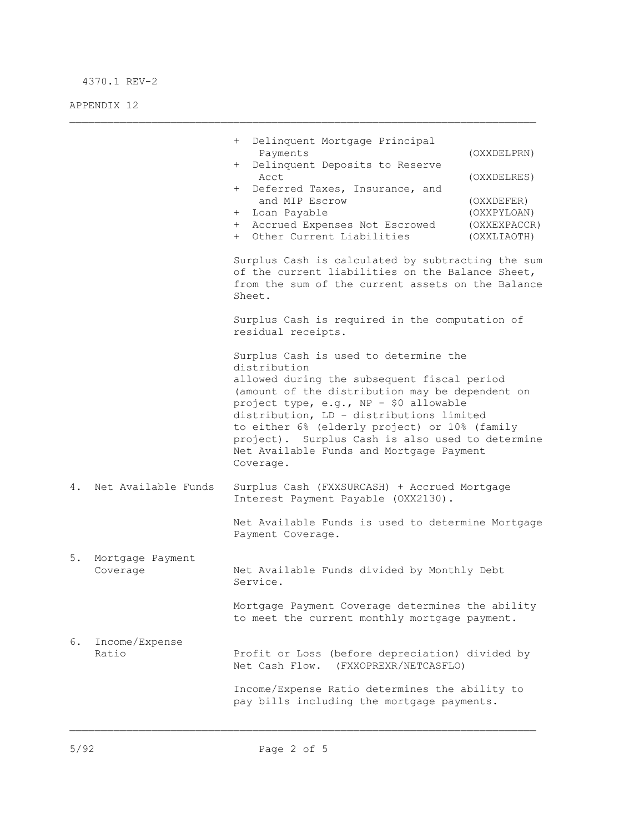## 4370.1 REV-2 4370.1 REV-2

APPENDIX 12 APPENDIX 12

|    |                              | Delinquent Mortgage Principal<br>$+$<br>Payments<br>Delinquent Deposits to Reserve<br>$+$<br>Acct<br>Deferred Taxes, Insurance, and<br>$+$<br>and MIP Escrow<br>+ Loan Payable<br>Accrued Expenses Not Escrowed<br>$+$<br>+ Other Current Liabilities<br>Surplus Cash is calculated by subtracting the sum<br>of the current liabilities on the Balance Sheet,<br>from the sum of the current assets on the Balance<br>Sheet.<br>Surplus Cash is required in the computation of<br>residual receipts. | (OXXDELPRN)<br>(OXXDELRES)<br>(OXXDEFER)<br>(OXXPYLOAN)<br>(OXXEXPACCR)<br>(OXXLIAOTH) |
|----|------------------------------|-------------------------------------------------------------------------------------------------------------------------------------------------------------------------------------------------------------------------------------------------------------------------------------------------------------------------------------------------------------------------------------------------------------------------------------------------------------------------------------------------------|----------------------------------------------------------------------------------------|
|    |                              | Surplus Cash is used to determine the<br>distribution<br>allowed during the subsequent fiscal period<br>(amount of the distribution may be dependent on<br>project type, e.g., NP - \$0 allowable<br>distribution, LD - distributions limited<br>to either 6% (elderly project) or 10% (family<br>project). Surplus Cash is also used to determine<br>Net Available Funds and Mortgage Payment<br>Coverage.                                                                                           |                                                                                        |
| 4. | Net Available Funds          | Surplus Cash (FXXSURCASH) + Accrued Mortgage<br>Interest Payment Payable (OXX2130).<br>Net Available Funds is used to determine Mortgage<br>Payment Coverage.                                                                                                                                                                                                                                                                                                                                         |                                                                                        |
| 5. | Mortgage Payment<br>Coverage | Net Available Funds divided by Monthly Debt<br>Service.                                                                                                                                                                                                                                                                                                                                                                                                                                               |                                                                                        |
|    |                              | Mortgage Payment Coverage determines the ability<br>to meet the current monthly mortgage payment.                                                                                                                                                                                                                                                                                                                                                                                                     |                                                                                        |
| 6. | Income/Expense<br>Ratio      | Profit or Loss (before depreciation) divided by<br>Net Cash Flow. (FXXOPREXR/NETCASFLO)                                                                                                                                                                                                                                                                                                                                                                                                               |                                                                                        |
|    |                              | Income/Expense Ratio determines the ability to<br>pay bills including the mortgage payments.                                                                                                                                                                                                                                                                                                                                                                                                          |                                                                                        |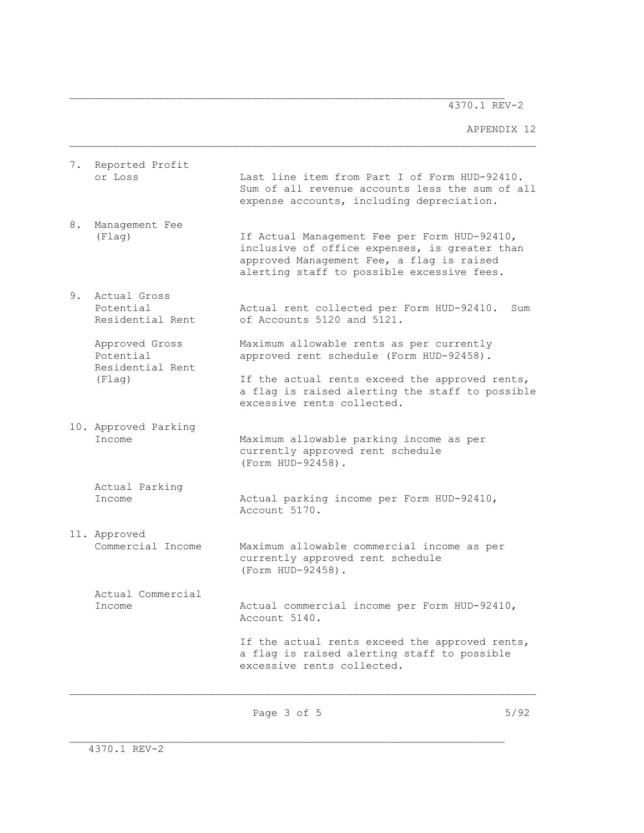4370.1 REV-2 4370.1 REV-2

APPENDIX 12 APPENDIX 12

| 7. | Reported Profit<br>or Loss                                | Last line item from Part I of Form HUD-92410.<br>Sum of all revenue accounts less the sum of all<br>expense accounts, including depreciation.                                            |
|----|-----------------------------------------------------------|------------------------------------------------------------------------------------------------------------------------------------------------------------------------------------------|
| 8. | Management Fee<br>(Flag)                                  | If Actual Management Fee per Form HUD-92410,<br>inclusive of office expenses, is greater than<br>approved Management Fee, a flag is raised<br>alerting staff to possible excessive fees. |
| 9. | Actual Gross<br>Potential<br>Residential Rent             | Actual rent collected per Form HUD-92410.<br>Sum<br>of Accounts 5120 and 5121.                                                                                                           |
|    | Approved Gross<br>Potential<br>Residential Rent<br>(Flag) | Maximum allowable rents as per currently<br>approved rent schedule (Form HUD-92458).                                                                                                     |
|    |                                                           | If the actual rents exceed the approved rents,<br>a flag is raised alerting the staff to possible<br>excessive rents collected.                                                          |
|    | 10. Approved Parking<br>Income                            | Maximum allowable parking income as per<br>currently approved rent schedule<br>(Form HUD-92458).                                                                                         |
|    | Actual Parking<br>Income                                  | Actual parking income per Form HUD-92410,<br>Account 5170.                                                                                                                               |
|    | 11. Approved<br>Commercial Income                         | Maximum allowable commercial income as per<br>currently approved rent schedule<br>(Form HUD-92458).                                                                                      |
|    | Actual Commercial<br>Income                               | Actual commercial income per Form HUD-92410,<br>Account 5140.                                                                                                                            |
|    |                                                           | If the actual rents exceed the approved rents,<br>a flag is raised alerting staff to possible<br>excessive rents collected.                                                              |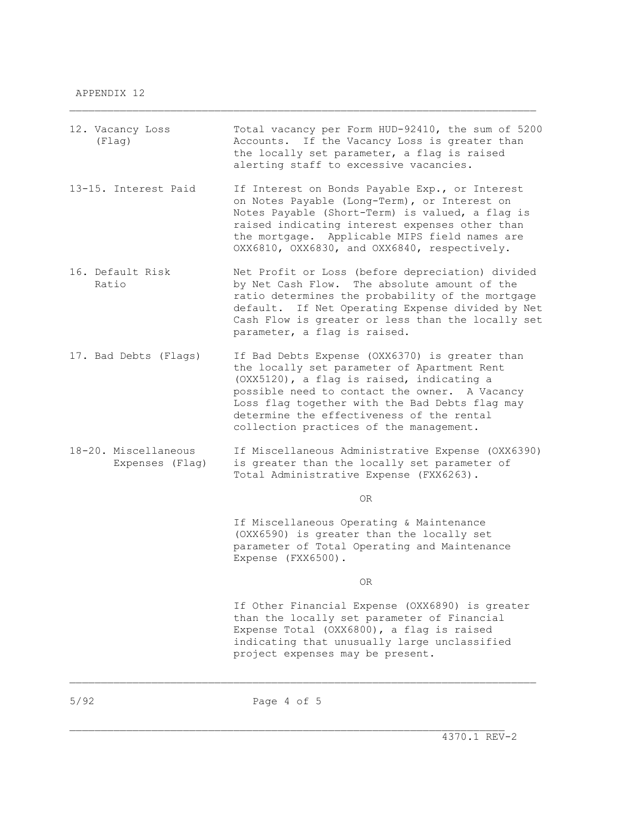| 12. Vacancy Loss<br>(Flag)              | Total vacancy per Form HUD-92410, the sum of 5200<br>Accounts. If the Vacancy Loss is greater than<br>the locally set parameter, a flag is raised<br>alerting staff to excessive vacancies.                                                                                                                                           |
|-----------------------------------------|---------------------------------------------------------------------------------------------------------------------------------------------------------------------------------------------------------------------------------------------------------------------------------------------------------------------------------------|
| 13-15. Interest Paid                    | If Interest on Bonds Payable Exp., or Interest<br>on Notes Payable (Long-Term), or Interest on<br>Notes Payable (Short-Term) is valued, a flag is<br>raised indicating interest expenses other than<br>the mortgage. Applicable MIPS field names are<br>OXX6810, OXX6830, and OXX6840, respectively.                                  |
| 16. Default Risk<br>Ratio               | Net Profit or Loss (before depreciation) divided<br>by Net Cash Flow. The absolute amount of the<br>ratio determines the probability of the mortgage<br>default. If Net Operating Expense divided by Net<br>Cash Flow is greater or less than the locally set<br>parameter, a flag is raised.                                         |
| 17. Bad Debts (Flags)                   | If Bad Debts Expense (OXX6370) is greater than<br>the locally set parameter of Apartment Rent<br>(OXX5120), a flag is raised, indicating a<br>possible need to contact the owner. A Vacancy<br>Loss flag together with the Bad Debts flag may<br>determine the effectiveness of the rental<br>collection practices of the management. |
| 18-20. Miscellaneous<br>Expenses (Flag) | If Miscellaneous Administrative Expense (OXX6390)<br>is greater than the locally set parameter of<br>Total Administrative Expense (FXX6263).                                                                                                                                                                                          |
|                                         | OR.                                                                                                                                                                                                                                                                                                                                   |
|                                         | If Miscellaneous Operating & Maintenance<br>(OXX6590) is greater than the locally set<br>parameter of Total Operating and Maintenance<br>Expense (FXX6500).                                                                                                                                                                           |
|                                         | 0R                                                                                                                                                                                                                                                                                                                                    |
|                                         | If Other Financial Expense (OXX6890) is greater<br>than the locally set parameter of Financial<br>Expense Total (OXX6800), a flag is raised<br>indicating that unusually large unclassified<br>project expenses may be present.                                                                                                       |